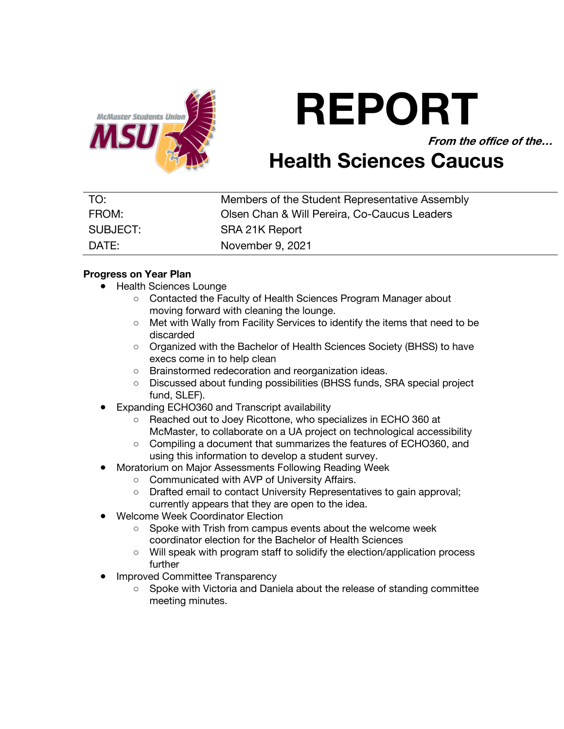

# **REPORT**

**From the office of the…**

# **Health Sciences Caucus**

| TO:      | Members of the Student Representative Assembly |
|----------|------------------------------------------------|
| FROM:    | Olsen Chan & Will Pereira, Co-Caucus Leaders   |
| SUBJECT: | SRA 21K Report                                 |
| DATE:    | November 9, 2021                               |

# **Progress on Year Plan**

- Health Sciences Lounge
	- Contacted the Faculty of Health Sciences Program Manager about moving forward with cleaning the lounge.
	- Met with Wally from Facility Services to identify the items that need to be discarded
	- Organized with the Bachelor of Health Sciences Society (BHSS) to have execs come in to help clean
	- Brainstormed redecoration and reorganization ideas.
	- Discussed about funding possibilities (BHSS funds, SRA special project fund, SLEF).
- **Expanding ECHO360 and Transcript availability** 
	- Reached out to Joey Ricottone, who specializes in ECHO 360 at McMaster, to collaborate on a UA project on technological accessibility
	- Compiling a document that summarizes the features of ECHO360, and using this information to develop a student survey.
- Moratorium on Major Assessments Following Reading Week
	- Communicated with AVP of University Affairs.
		- Drafted email to contact University Representatives to gain approval; currently appears that they are open to the idea.
- **Welcome Week Coordinator Election** 
	- Spoke with Trish from campus events about the welcome week coordinator election for the Bachelor of Health Sciences
	- Will speak with program staff to solidify the election/application process further
- **Improved Committee Transparency** 
	- Spoke with Victoria and Daniela about the release of standing committee meeting minutes.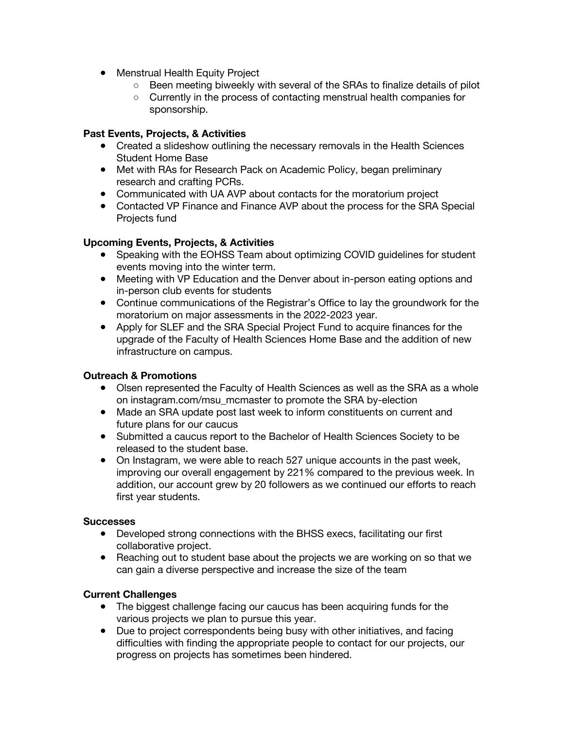- Menstrual Health Equity Project
	- Been meeting biweekly with several of the SRAs to finalize details of pilot
	- Currently in the process of contacting menstrual health companies for sponsorship.

### **Past Events, Projects, & Activities**

- Created a slideshow outlining the necessary removals in the Health Sciences Student Home Base
- Met with RAs for Research Pack on Academic Policy, began preliminary research and crafting PCRs.
- Communicated with UA AVP about contacts for the moratorium project
- Contacted VP Finance and Finance AVP about the process for the SRA Special Projects fund

# **Upcoming Events, Projects, & Activities**

- Speaking with the EOHSS Team about optimizing COVID guidelines for student events moving into the winter term.
- Meeting with VP Education and the Denver about in-person eating options and in-person club events for students
- Continue communications of the Registrar's Office to lay the groundwork for the moratorium on major assessments in the 2022-2023 year.
- Apply for SLEF and the SRA Special Project Fund to acquire finances for the upgrade of the Faculty of Health Sciences Home Base and the addition of new infrastructure on campus.

## **Outreach & Promotions**

- Olsen represented the Faculty of Health Sciences as well as the SRA as a whole on instagram.com/msu\_mcmaster to promote the SRA by-election
- Made an SRA update post last week to inform constituents on current and future plans for our caucus
- Submitted a caucus report to the Bachelor of Health Sciences Society to be released to the student base.
- On Instagram, we were able to reach 527 unique accounts in the past week, improving our overall engagement by 221% compared to the previous week. In addition, our account grew by 20 followers as we continued our efforts to reach first year students.

### **Successes**

- Developed strong connections with the BHSS execs, facilitating our first collaborative project.
- Reaching out to student base about the projects we are working on so that we can gain a diverse perspective and increase the size of the team

### **Current Challenges**

- The biggest challenge facing our caucus has been acquiring funds for the various projects we plan to pursue this year.
- Due to project correspondents being busy with other initiatives, and facing difficulties with finding the appropriate people to contact for our projects, our progress on projects has sometimes been hindered.